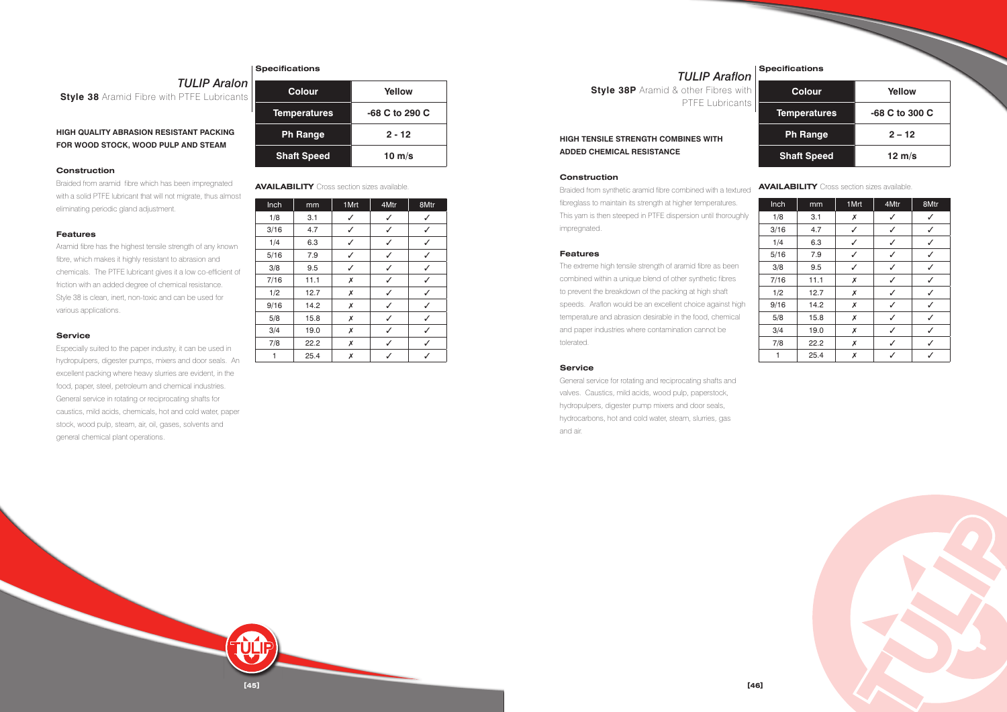**[45]**

**HIGH QUALITY ABRASION RESISTANT PACKING FOR WOOD STOCK, WOOD PULP AND STEAM**

#### **Construction**

Braided from aramid fibre which has been impregnated with a solid PTFE lubricant that will not migrate, thus almost eliminating periodic gland adjustment.

#### **Features**

Aramid fibre has the highest tensile strength of any known fibre, which makes it highly resistant to abrasion and chemicals. The PTFE lubricant gives it a low co-efficient of friction with an added degree of chemical resistance. Style 38 is clean, inert, non-toxic and can be used for various applications.

#### **Service**

Especially suited to the paper industry, it can be used in hydropulpers, digester pumps, mixers and door seals. An excellent packing where heavy slurries are evident, in the food, paper, steel, petroleum and chemical industries. General service in rotating or reciprocating shafts for caustics, mild acids, chemicals, hot and cold water, paper stock, wood pulp, steam, air, oil, gases, solvents and general chemical plant operations.

### **Specifications**

| lon<br>ants | <b>Colour</b>       | Yellow         |
|-------------|---------------------|----------------|
|             | <b>Temperatures</b> | -68 C to 290 C |
| à           | <b>Ph Range</b>     | $2 - 12$       |
|             | <b>Shaft Speed</b>  | 10 $m/s$       |

| Inch | mm   | 1 Mrt | 4Mtr | 8Mtr |
|------|------|-------|------|------|
| 1/8  | 3.1  | ✓     | ✓    |      |
| 3/16 | 4.7  | ✓     | ✓    |      |
| 1/4  | 6.3  | ✓     | ✓    |      |
| 5/16 | 7.9  | ✓     | ✓    | ✓    |
| 3/8  | 9.5  | ✓     | ✓    | ✓    |
| 7/16 | 11.1 | Х     | ✓    |      |
| 1/2  | 12.7 | Х     | J    |      |
| 9/16 | 14.2 | X     |      |      |
| 5/8  | 15.8 | Х     | ✓    |      |
| 3/4  | 19.0 | Х     | ✓    |      |
| 7/8  | 22.2 | Х     | ✓    | ✓    |
| 1    | 25.4 | Х     |      |      |

**AVAILABILITY** Cross section sizes available.

# **HIGH TENSILE STRENGTH COMBINES WITH ADDED CHEMICAL RESISTANCE**

#### **Construction**

Braided from synthetic aramid fibre combined with a textured fibreglass to maintain its strength at higher temperatures. This yarn is then steeped in PTFE dispersion until thoroughly impregnated.

#### **Features**

The extreme high tensile strength of aramid fibre as been combined within a unique blend of other synthetic fibres to prevent the breakdown of the packing at high shaft speeds. Araflon would be an excellent choice against high temperature and abrasion desirable in the food, chemical and paper industries where contamination cannot be tolerated.

#### **Service**

General service for rotating and reciprocating shafts and valves. Caustics, mild acids, wood pulp, paperstock, hydropulpers, digester pump mixers and door seals, hydrocarbons, hot and cold water, steam, slurries, gas and air.

# **TULIP** Ara **Style 38** Aramid Fibre with PTFE Lubrica

| <b>Colour</b>       | Yellow           |
|---------------------|------------------|
| <b>Temperatures</b> | -68 C to 300 C   |
| <b>Ph Range</b>     | $2 - 12$         |
| <b>Shaft Speed</b>  | $12 \text{ m/s}$ |

| Inch | mm   | 1Mrt | 4Mtr | 8Mtr |
|------|------|------|------|------|
| 1/8  | 3.1  | Х    | ✓    |      |
| 3/16 | 4.7  | ✓    | ✓    | ✓    |
| 1/4  | 6.3  | ✓    | ✓    | ✓    |
| 5/16 | 7.9  | ✓    | ✓    | ✓    |
| 3/8  | 9.5  | J    | ✓    |      |
| 7/16 | 11.1 | Х    | ✓    |      |
| 1/2  | 12.7 | Х    | ✓    |      |
| 9/16 | 14.2 | Х    | ✓    | √    |
| 5/8  | 15.8 | Х    | ✓    | ✓    |
| 3/4  | 19.0 | Х    | ✓    | ✓    |
| 7/8  | 22.2 | Х    | ✓    |      |
| 1    | 25.4 | Х    | J    |      |



#### **AVAILABILITY** Cross section sizes available.

*TULIP Araflon* **Style 38P** Aramid & other Fibres with PTFE Lubricants

**Specifications**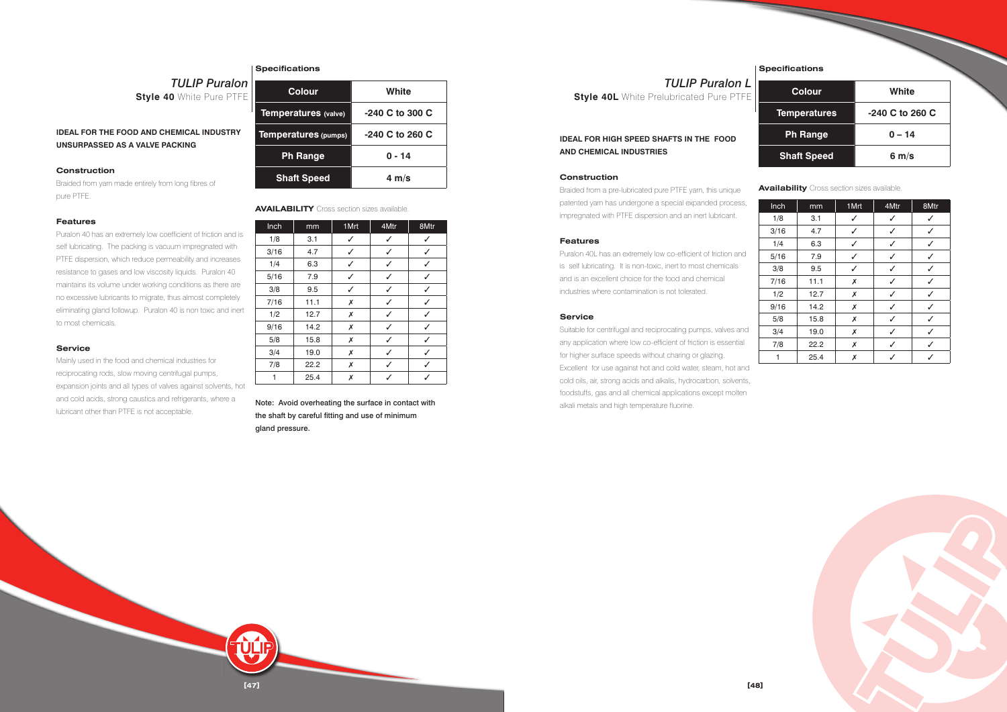**[47]**

**IDEAL FOR THE FOOD AND CHEMICAL INDUSTRY UNSURPASSED AS A VALVE PACKING**

#### **Construction**

Braided from yarn made entirely from long fibres of pure PTFE.

#### **Features**

Puralon 40 has an extremely low coefficient of friction and is self lubricating. The packing is vacuum impregnated with PTFE dispersion, which reduce permeability and increases resistance to gases and low viscosity liquids. Puralon 40 maintains its volume under working conditions as there are no excessive lubricants to migrate, thus almost completely eliminating gland followup. Puralon 40 is non toxic and inert to most chemicals.

*TULIP Puralon* **Style 40 White Pure PTFE** 

#### **Service**

Mainly used in the food and chemical industries for reciprocating rods, slow moving centrifugal pumps, expansion joints and all types of valves against solvents, hot and cold acids, strong caustics and refrigerants, where a lubricant other than PTFE is not acceptable.

#### **Specifications**

| $\frac{1}{2}$ | <b>Colour</b>               | White             |
|---------------|-----------------------------|-------------------|
|               | Temperatures (valve)        | $-240$ C to 300 C |
|               | <b>Temperatures (pumps)</b> | $-240$ C to 260 C |
|               | <b>Ph Range</b>             | $0 - 14$          |
|               | <b>Shaft Speed</b>          | $4 \text{ m/s}$   |

| Inch | mm   | 1 Mrt | 4Mtr | 8Mtr |
|------|------|-------|------|------|
| 1/8  | 3.1  | ✓     | ✓    |      |
| 3/16 | 4.7  | ✓     | ✓    | ✓    |
| 1/4  | 6.3  | ✓     | ✓    | ✓    |
| 5/16 | 7.9  | ✓     | ✓    | ✓    |
| 3/8  | 9.5  | ✓     | ✓    | ✓    |
| 7/16 | 11.1 | Х     | J    | ✓    |
| 1/2  | 12.7 | Х     |      |      |
| 9/16 | 14.2 | Х     | J    |      |
| 5/8  | 15.8 | Х     | ✓    |      |
| 3/4  | 19.0 | Х     | ✓    |      |
| 7/8  | 22.2 | Х     | ✓    |      |
| 1    | 25.4 | Х     |      |      |

**AVAILABILITY** Cross section sizes available.

*TULIP Puralon L* **Style 40L** White Prelubricated Pure PTFE

Note: Avoid overheating the surface in contact with the shaft by careful fitting and use of minimum gland pressure.

# **IDEAL FOR HIGH SPEED SHAFTS IN THE FOOD AND CHEMICAL INDUSTRIES**

#### **Construction**

Braided from a pre-lubricated pure PTFE yarn, this unique patented yarn has undergone a special expanded process, impregnated with PTFE dispersion and an inert lubricant.

#### **Features**

Puralon 40L has an extremely low co-efficient of friction and is self lubricating. It is non-toxic, inert to most chemicals and is an excellent choice for the food and chemical industries where contamination is not tolerated.

#### **Service**

Suitable for centrifugal and reciprocating pumps, valves and any application where low co-efficient of friction is essential for higher surface speeds without charing or glazing. Excellent for use against hot and cold water, steam, hot and cold oils, air, strong acids and alkalis, hydrocarbon, solvents, foodstuffs, gas and all chemical applications except molten alkali metals and high temperature fluorine.

| <b>Colour</b>       | White             |
|---------------------|-------------------|
| <b>Temperatures</b> | $-240$ C to 260 C |
| <b>Ph Range</b>     | $0 - 14$          |
| <b>Shaft Speed</b>  | $6 \text{ m/s}$   |

| Inch | mm   | 1Mrt | 4Mtr | 8Mtr |
|------|------|------|------|------|
| 1/8  | 3.1  | ✓    | ✓    | ✓    |
| 3/16 | 4.7  | ✓    | ✓    | ✓    |
| 1/4  | 6.3  | ✓    | ✓    | ✓    |
| 5/16 | 7.9  | ✓    | ✓    |      |
| 3/8  | 9.5  | ✓    | ✓    |      |
| 7/16 | 11.1 | Х    | ✓    | J    |
| 1/2  | 12.7 | Х    | ✓    |      |
| 9/16 | 14.2 | Х    | ✓    | ✓    |
| 5/8  | 15.8 | Х    | ✓    | ✓    |
| 3/4  | 19.0 | Х    | ✓    | ✓    |
| 7/8  | 22.2 | Х    | ✓    |      |
| 1    | 25.4 | Х    | ✓    |      |



**Availability** Cross section sizes available.

**Specifications**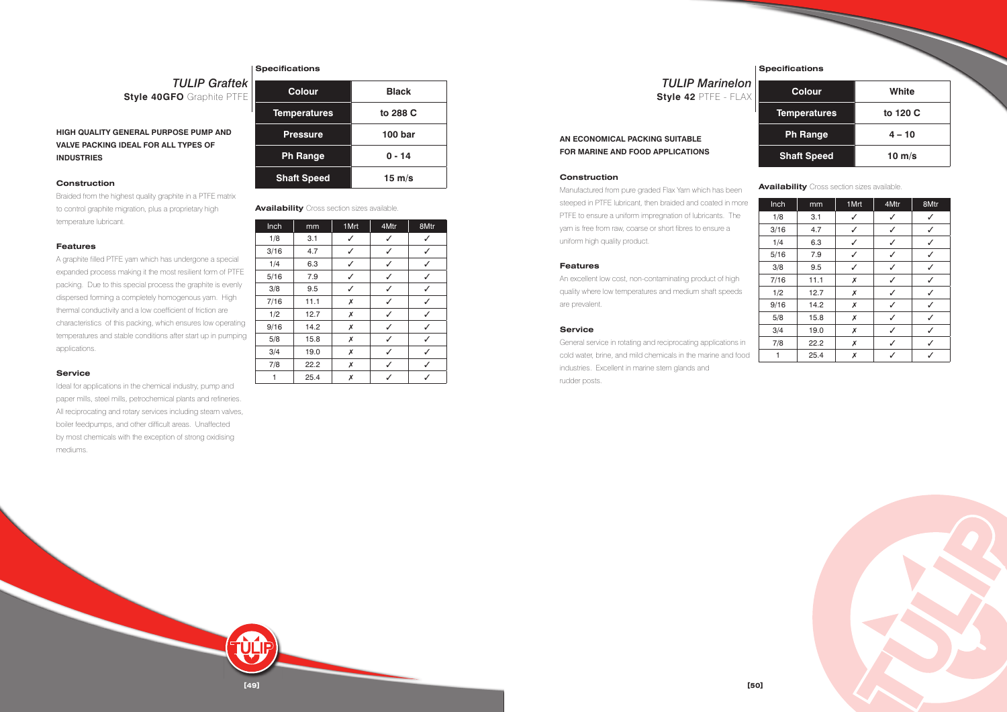**[49]**

# **HIGH QUALITY GENERAL PURPOSE PUMP AND VALVE PACKING IDEAL FOR ALL TYPES OF INDUSTRIES**

### **Construction**

Braided from the highest quality graphite in a PTFE matrix to control graphite migration, plus a proprietary high temperature lubricant.

#### **Features**

A graphite filled PTFE yarn which has undergone a special expanded process making it the most resilient form of PTFE packing. Due to this special process the graphite is evenly dispersed forming a completely homogenous yarn. High thermal conductivity and a low coefficient of friction are characteristics of this packing, which ensures low operating temperatures and stable conditions after start up in pumping applications.

#### **Service**

Ideal for applications in the chemical industry, pump and paper mills, steel mills, petrochemical plants and refineries. All reciprocating and rotary services including steam valves, boiler feedpumps, and other difficult areas. Unaffected by most chemicals with the exception of strong oxidising mediums.

### **Specifications**

| <b>Colour</b>       | <b>Black</b>     |
|---------------------|------------------|
| <b>Temperatures</b> | to 288 C         |
| <b>Pressure</b>     | <b>100 bar</b>   |
| <b>Ph Range</b>     | $0 - 14$         |
| <b>Shaft Speed</b>  | $15 \text{ m/s}$ |

| Inch | mm   | 1 Mrt | 4Mtr | 8Mtr |
|------|------|-------|------|------|
| 1/8  | 3.1  |       | ✓    |      |
| 3/16 | 4.7  | ✓     | J    | ✓    |
| 1/4  | 6.3  | ✓     | ✓    | ✓    |
| 5/16 | 7.9  | ✓     | ✓    | ✓    |
| 3/8  | 9.5  | ✓     | ✓    | ✓    |
| 7/16 | 11.1 | Х     | ✓    | J    |
| 1/2  | 12.7 | Х     | J    |      |
| 9/16 | 14.2 | Х     | J    |      |
| 5/8  | 15.8 | Х     |      |      |
| 3/4  | 19.0 | Х     | ✓    | ✓    |
| 7/8  | 22.2 | Х     | ✓    | ✓    |
| 1    | 25.4 | Х     | ✓    |      |

**Availability** Cross section sizes available.

*TULIP Graftek*

|                                  |  | <b>IULIP Graftek</b> |
|----------------------------------|--|----------------------|
| <b>Style 40GFO</b> Graphite PTFE |  |                      |

# **AN ECONOMICAL PACKING SUITABLE FOR MARINE AND FOOD APPLICATIONS**

#### **Construction**

Manufactured from pure graded Flax Yarn which has been steeped in PTFE lubricant, then braided and coated in more PTFE to ensure a uniform impregnation of lubricants. The yarn is free from raw, coarse or short fibres to ensure a uniform high quality product.

#### **Features**

An excellent low cost, non-contaminating product of high quality where low temperatures and medium shaft speeds are prevalent.

#### **Service**

General service in rotating and reciprocating applications in cold water, brine, and mild chemicals in the marine and food industries. Excellent in marine stern glands and rudder posts.

| <b>Colour</b>       | White            |
|---------------------|------------------|
| <b>Temperatures</b> | to 120 C         |
| <b>Ph Range</b>     | $4 - 10$         |
| <b>Shaft Speed</b>  | $10 \text{ m/s}$ |

| Inch | mm   | 1Mrt | 4Mtr | 8Mtr |
|------|------|------|------|------|
| 1/8  | 3.1  | ✓    | ✓    | J    |
| 3/16 | 4.7  | ✓    | ✓    | ✓    |
| 1/4  | 6.3  | ✓    | ✓    | ✓    |
| 5/16 | 7.9  | ✓    | ✓    |      |
| 3/8  | 9.5  | ✓    | ✓    |      |
| 7/16 | 11.1 | Х    | ✓    |      |
| 1/2  | 12.7 | Х    | ✓    |      |
| 9/16 | 14.2 | Х    | ✓    | J    |
| 5/8  | 15.8 | Х    | ✓    | ✓    |
| 3/4  | 19.0 | Х    | ✓    | ✓    |
| 7/8  | 22.2 | Х    | ✓    |      |
| 1    | 25.4 | Х    | J    |      |



**Availability** Cross section sizes available.

# *TULIP Marinelon* **Style 42** PTFE - FLAX

**Specifications**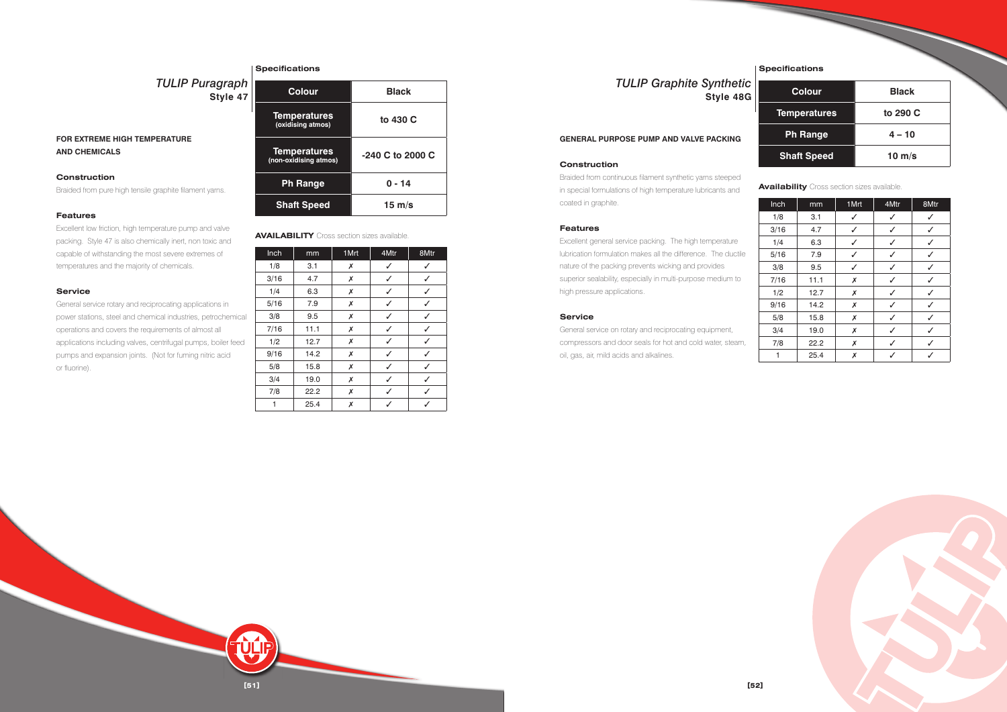**[51]**

# **FOR EXTREME HIGH TEMPERATURE AND CHEMICALS**

#### **Construction**

Braided from pure high tensile graphite filament yarns.

#### **Features**

Excellent low friction, high temperature pump and valve packing. Style 47 is also chemically inert, non toxic and capable of withstanding the most severe extremes of temperatures and the majority of chemicals.

#### **Service**

General service rotary and reciprocating applications in power stations, steel and chemical industries, petrochemical operations and covers the requirements of almost all applications including valves, centrifugal pumps, boiler feed pumps and expansion joints. (Not for fuming nitric acid or fluorine).

# *TULIP Puragraph* **Style 47**

#### **Specifications**

| <b>Colour</b>                                | <b>Black</b>     |  |
|----------------------------------------------|------------------|--|
| <b>Temperatures</b><br>(oxidising atmos)     | to 430 C         |  |
| <b>Temperatures</b><br>(non-oxidising atmos) | -240 C to 2000 C |  |
| <b>Ph Range</b>                              | 0 - 14           |  |
| <b>Shaft Speed</b>                           | $15 \text{ m/s}$ |  |

| Inch | mm   | 1 Mrt | 4Mtr | 8Mtr |
|------|------|-------|------|------|
| 1/8  | 3.1  | X     | ✓    |      |
| 3/16 | 4.7  | Х     | ✓    |      |
| 1/4  | 6.3  | Х     | ✓    | ✓    |
| 5/16 | 7.9  | Х     | ✓    | ✓    |
| 3/8  | 9.5  | Х     | ✓    | ✓    |
| 7/16 | 11.1 | Х     | ✓    |      |
| 1/2  | 12.7 | Х     | J    |      |
| 9/16 | 14.2 | Х     |      |      |
| 5/8  | 15.8 | Х     | ✓    |      |
| 3/4  | 19.0 | Х     |      |      |
| 7/8  | 22.2 | Х     | J    |      |
| 1    | 25.4 | Х     |      |      |

**AVAILABILITY** Cross section sizes available.

#### **GENERAL PURPOSE PUMP AND VALVE PACKING**

### **Construction**

Braided from continuous filament synthetic yarns steeped in special formulations of high temperature lubricants and coated in graphite.

#### **Features**

Excellent general service packing. The high temperature lubrication formulation makes all the difference. The ductile nature of the packing prevents wicking and provides superior sealability, especially in multi-purpose medium to high pressure applications.

#### **Service**

General service on rotary and reciprocating equipment, compressors and door seals for hot and cold water, steam, oil, gas, air, mild acids and alkalines.

# *TULIP Graphite Synthetic* **Style 48G**

**Specifications**

| <b>Colour</b>       | <b>Black</b> |
|---------------------|--------------|
| <b>Temperatures</b> | to 290 C     |
| <b>Ph Range</b>     | $4 - 10$     |
| <b>Shaft Speed</b>  | 10 $m/s$     |

| Inch | mm   | 1Mrt | 4Mtr | 8Mtr |
|------|------|------|------|------|
| 1/8  | 3.1  | ✓    | ✓    | J    |
| 3/16 | 4.7  | ✓    | ✓    | ✓    |
| 1/4  | 6.3  | ✓    | ✓    | ✓    |
| 5/16 | 7.9  | ✓    | ✓    |      |
| 3/8  | 9.5  | ✓    | J    |      |
| 7/16 | 11.1 | Х    | ✓    | J    |
| 1/2  | 12.7 | Х    | ✓    |      |
| 9/16 | 14.2 | Х    | ✓    | ✓    |
| 5/8  | 15.8 | Х    | ✓    | ✓    |
| 3/4  | 19.0 | Х    | ✓    | ✓    |
| 7/8  | 22.2 | Х    | ✓    |      |
| 1    | 25.4 | Х    | ✓    |      |



**Availability** Cross section sizes available.